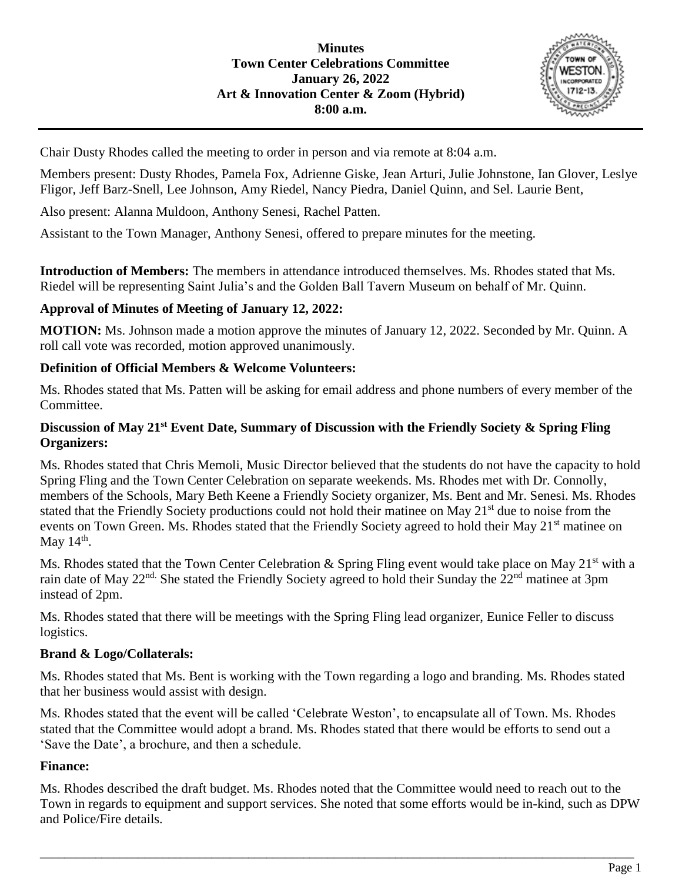

Chair Dusty Rhodes called the meeting to order in person and via remote at 8:04 a.m.

Members present: Dusty Rhodes, Pamela Fox, Adrienne Giske, Jean Arturi, Julie Johnstone, Ian Glover, Leslye Fligor, Jeff Barz-Snell, Lee Johnson, Amy Riedel, Nancy Piedra, Daniel Quinn, and Sel. Laurie Bent,

Also present: Alanna Muldoon, Anthony Senesi, Rachel Patten.

Assistant to the Town Manager, Anthony Senesi, offered to prepare minutes for the meeting.

**Introduction of Members:** The members in attendance introduced themselves. Ms. Rhodes stated that Ms. Riedel will be representing Saint Julia's and the Golden Ball Tavern Museum on behalf of Mr. Quinn.

## **Approval of Minutes of Meeting of January 12, 2022:**

**MOTION:** Ms. Johnson made a motion approve the minutes of January 12, 2022. Seconded by Mr. Quinn. A roll call vote was recorded, motion approved unanimously.

### **Definition of Official Members & Welcome Volunteers:**

Ms. Rhodes stated that Ms. Patten will be asking for email address and phone numbers of every member of the Committee.

### **Discussion of May 21st Event Date, Summary of Discussion with the Friendly Society & Spring Fling Organizers:**

Ms. Rhodes stated that Chris Memoli, Music Director believed that the students do not have the capacity to hold Spring Fling and the Town Center Celebration on separate weekends. Ms. Rhodes met with Dr. Connolly, members of the Schools, Mary Beth Keene a Friendly Society organizer, Ms. Bent and Mr. Senesi. Ms. Rhodes stated that the Friendly Society productions could not hold their matinee on May 21<sup>st</sup> due to noise from the events on Town Green. Ms. Rhodes stated that the Friendly Society agreed to hold their May 21<sup>st</sup> matinee on May  $14<sup>th</sup>$ .

Ms. Rhodes stated that the Town Center Celebration & Spring Fling event would take place on May 21<sup>st</sup> with a rain date of May 22<sup>nd.</sup> She stated the Friendly Society agreed to hold their Sunday the 22<sup>nd</sup> matinee at 3pm instead of 2pm.

Ms. Rhodes stated that there will be meetings with the Spring Fling lead organizer, Eunice Feller to discuss logistics.

## **Brand & Logo/Collaterals:**

Ms. Rhodes stated that Ms. Bent is working with the Town regarding a logo and branding. Ms. Rhodes stated that her business would assist with design.

Ms. Rhodes stated that the event will be called 'Celebrate Weston', to encapsulate all of Town. Ms. Rhodes stated that the Committee would adopt a brand. Ms. Rhodes stated that there would be efforts to send out a 'Save the Date', a brochure, and then a schedule.

#### **Finance:**

Ms. Rhodes described the draft budget. Ms. Rhodes noted that the Committee would need to reach out to the Town in regards to equipment and support services. She noted that some efforts would be in-kind, such as DPW and Police/Fire details.

\_\_\_\_\_\_\_\_\_\_\_\_\_\_\_\_\_\_\_\_\_\_\_\_\_\_\_\_\_\_\_\_\_\_\_\_\_\_\_\_\_\_\_\_\_\_\_\_\_\_\_\_\_\_\_\_\_\_\_\_\_\_\_\_\_\_\_\_\_\_\_\_\_\_\_\_\_\_\_\_\_\_\_\_\_\_\_\_\_\_\_\_\_\_\_\_\_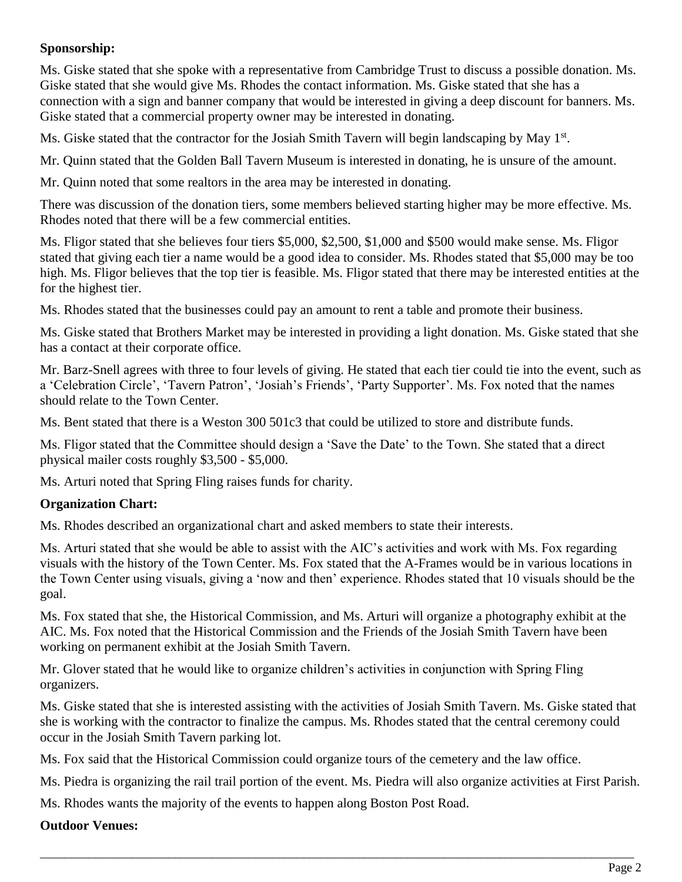# **Sponsorship:**

Ms. Giske stated that she spoke with a representative from Cambridge Trust to discuss a possible donation. Ms. Giske stated that she would give Ms. Rhodes the contact information. Ms. Giske stated that she has a connection with a sign and banner company that would be interested in giving a deep discount for banners. Ms. Giske stated that a commercial property owner may be interested in donating.

Ms. Giske stated that the contractor for the Josiah Smith Tavern will begin landscaping by May 1<sup>st</sup>.

Mr. Quinn stated that the Golden Ball Tavern Museum is interested in donating, he is unsure of the amount.

Mr. Quinn noted that some realtors in the area may be interested in donating.

There was discussion of the donation tiers, some members believed starting higher may be more effective. Ms. Rhodes noted that there will be a few commercial entities.

Ms. Fligor stated that she believes four tiers \$5,000, \$2,500, \$1,000 and \$500 would make sense. Ms. Fligor stated that giving each tier a name would be a good idea to consider. Ms. Rhodes stated that \$5,000 may be too high. Ms. Fligor believes that the top tier is feasible. Ms. Fligor stated that there may be interested entities at the for the highest tier.

Ms. Rhodes stated that the businesses could pay an amount to rent a table and promote their business.

Ms. Giske stated that Brothers Market may be interested in providing a light donation. Ms. Giske stated that she has a contact at their corporate office.

Mr. Barz-Snell agrees with three to four levels of giving. He stated that each tier could tie into the event, such as a 'Celebration Circle', 'Tavern Patron', 'Josiah's Friends', 'Party Supporter'. Ms. Fox noted that the names should relate to the Town Center.

Ms. Bent stated that there is a Weston 300 501c3 that could be utilized to store and distribute funds.

Ms. Fligor stated that the Committee should design a 'Save the Date' to the Town. She stated that a direct physical mailer costs roughly \$3,500 - \$5,000.

Ms. Arturi noted that Spring Fling raises funds for charity.

## **Organization Chart:**

Ms. Rhodes described an organizational chart and asked members to state their interests.

Ms. Arturi stated that she would be able to assist with the AIC's activities and work with Ms. Fox regarding visuals with the history of the Town Center. Ms. Fox stated that the A-Frames would be in various locations in the Town Center using visuals, giving a 'now and then' experience. Rhodes stated that 10 visuals should be the goal.

Ms. Fox stated that she, the Historical Commission, and Ms. Arturi will organize a photography exhibit at the AIC. Ms. Fox noted that the Historical Commission and the Friends of the Josiah Smith Tavern have been working on permanent exhibit at the Josiah Smith Tavern.

Mr. Glover stated that he would like to organize children's activities in conjunction with Spring Fling organizers.

Ms. Giske stated that she is interested assisting with the activities of Josiah Smith Tavern. Ms. Giske stated that she is working with the contractor to finalize the campus. Ms. Rhodes stated that the central ceremony could occur in the Josiah Smith Tavern parking lot.

Ms. Fox said that the Historical Commission could organize tours of the cemetery and the law office.

Ms. Piedra is organizing the rail trail portion of the event. Ms. Piedra will also organize activities at First Parish.

\_\_\_\_\_\_\_\_\_\_\_\_\_\_\_\_\_\_\_\_\_\_\_\_\_\_\_\_\_\_\_\_\_\_\_\_\_\_\_\_\_\_\_\_\_\_\_\_\_\_\_\_\_\_\_\_\_\_\_\_\_\_\_\_\_\_\_\_\_\_\_\_\_\_\_\_\_\_\_\_\_\_\_\_\_\_\_\_\_\_\_\_\_\_\_\_\_

Ms. Rhodes wants the majority of the events to happen along Boston Post Road.

## **Outdoor Venues:**